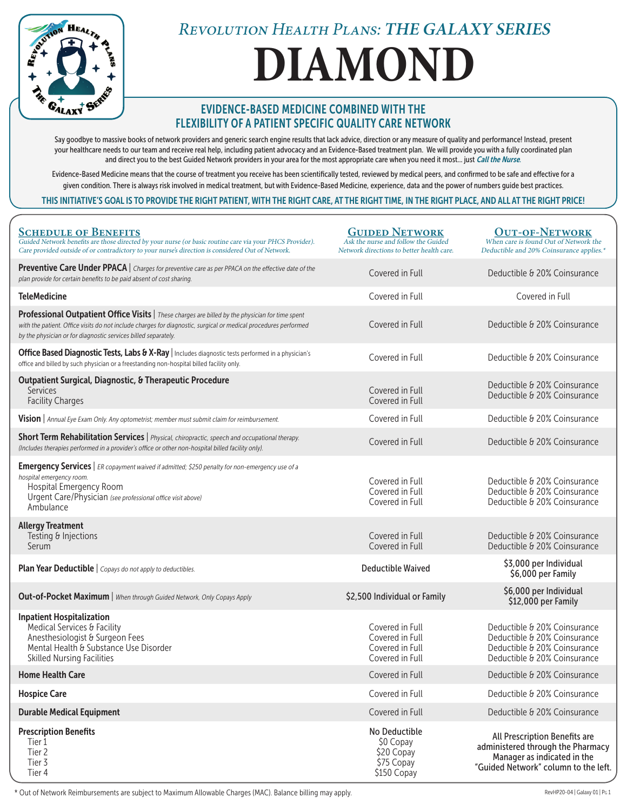

# **DIAMOND**

### EVIDENCE-BASED MEDICINE COMBINED WITH THE FLEXIBILITY OF A PATIENT SPECIFIC QUALITY CARE NETWORK

Say goodbye to massive books of network providers and generic search engine results that lack advice, direction or any measure of quality and performance! Instead, present your healthcare needs to our team and receive real help, including patient advocacy and an Evidence-Based treatment plan. We will provide you with a fully coordinated plan and direct you to the best Guided Network providers in your area for the most appropriate care when you need it most... just Call the Nurse.

Evidence-Based Medicine means that the course of treatment you receive has been scientifically tested, reviewed by medical peers, and confirmed to be safe and effective for a given condition. There is always risk involved in medical treatment, but with Evidence-Based Medicine, experience, data and the power of numbers guide best practices.

#### THIS INITIATIVE'S GOAL IS TO PROVIDE THE RIGHT PATIENT, WITH THE RIGHT CARE, AT THE RIGHT TIME, IN THE RIGHT PLACE, AND ALL AT THE RIGHT PRICE!

| <b>SCHEDULE OF BENEFITS</b><br>Guided Network benefits are those directed by your nurse (or basic routine care via your PHCS Provider).<br>Care provided outside of or contradictory to your nurse's direction is considered Out of Network.                                          | <b>GUIDED NETWORK</b><br>Ask the nurse and follow the Guided<br>Network directions to better health care. | <b>OUT-OF-NETWORK</b><br>When care is found Out of Network the<br>Deductible and 20% Coinsurance applies.*                                |
|---------------------------------------------------------------------------------------------------------------------------------------------------------------------------------------------------------------------------------------------------------------------------------------|-----------------------------------------------------------------------------------------------------------|-------------------------------------------------------------------------------------------------------------------------------------------|
| <b>Preventive Care Under PPACA</b>   Charges for preventive care as per PPACA on the effective date of the<br>plan provide for certain benefits to be paid absent of cost sharing.                                                                                                    | Covered in Full                                                                                           | Deductible & 20% Coinsurance                                                                                                              |
| <b>TeleMedicine</b>                                                                                                                                                                                                                                                                   | Covered in Full                                                                                           | Covered in Full                                                                                                                           |
| Professional Outpatient Office Visits   These charges are billed by the physician for time spent<br>with the patient. Office visits do not include charges for diagnostic, surgical or medical procedures performed<br>by the physician or for diagnostic services billed separately. | Covered in Full                                                                                           | Deductible & 20% Coinsurance                                                                                                              |
| Office Based Diagnostic Tests, Labs & X-Ray   Includes diagnostic tests performed in a physician's<br>office and billed by such physician or a freestanding non-hospital billed facility only.                                                                                        | Covered in Full                                                                                           | Deductible & 20% Coinsurance                                                                                                              |
| <b>Outpatient Surgical, Diagnostic, &amp; Therapeutic Procedure</b><br><b>Services</b><br><b>Facility Charges</b>                                                                                                                                                                     | Covered in Full<br>Covered in Full                                                                        | Deductible & 20% Coinsurance<br>Deductible & 20% Coinsurance                                                                              |
| Vision   Annual Eye Exam Only. Any optometrist; member must submit claim for reimbursement.                                                                                                                                                                                           | Covered in Full                                                                                           | Deductible & 20% Coinsurance                                                                                                              |
| Short Term Rehabilitation Services   Physical, chiropractic, speech and occupational therapy.<br>(Includes therapies performed in a provider's office or other non-hospital billed facility only).                                                                                    | Covered in Full                                                                                           | Deductible & 20% Coinsurance                                                                                                              |
| <b>Emergency Services</b>   ER copayment waived if admitted; \$250 penalty for non-emergency use of a<br>hospital emergency room.<br>Hospital Emergency Room<br>Urgent Care/Physician (see professional office visit above)<br>Ambulance                                              | Covered in Full<br>Covered in Full<br>Covered in Full                                                     | Deductible & 20% Coinsurance<br>Deductible & 20% Coinsurance<br>Deductible & 20% Coinsurance                                              |
| <b>Allergy Treatment</b><br>Testing & Injections<br>Serum                                                                                                                                                                                                                             | Covered in Full<br>Covered in Full                                                                        | Deductible & 20% Coinsurance<br>Deductible & 20% Coinsurance                                                                              |
| <b>Plan Year Deductible</b>   Copays do not apply to deductibles.                                                                                                                                                                                                                     | <b>Deductible Waived</b>                                                                                  | \$3,000 per Individual<br>\$6,000 per Family                                                                                              |
| <b>Out-of-Pocket Maximum</b>   When through Guided Network, Only Copays Apply                                                                                                                                                                                                         | \$2,500 Individual or Family                                                                              | \$6,000 per Individual<br>\$12,000 per Family                                                                                             |
| <b>Inpatient Hospitalization</b><br>Medical Services & Facility<br>Anesthesiologist & Surgeon Fees<br>Mental Health & Substance Use Disorder<br><b>Skilled Nursing Facilities</b>                                                                                                     | Covered in Full<br>Covered in Full<br>Covered in Full<br>Covered in Full                                  | Deductible & 20% Coinsurance<br>Deductible & 20% Coinsurance<br>Deductible & 20% Coinsurance<br>Deductible & 20% Coinsurance              |
| <b>Home Health Care</b>                                                                                                                                                                                                                                                               | Covered in Full                                                                                           | Deductible & 20% Coinsurance                                                                                                              |
| <b>Hospice Care</b>                                                                                                                                                                                                                                                                   | Covered in Full                                                                                           | Deductible & 20% Coinsurance                                                                                                              |
| <b>Durable Medical Equipment</b>                                                                                                                                                                                                                                                      | Covered in Full                                                                                           | Deductible & 20% Coinsurance                                                                                                              |
| <b>Prescription Benefits</b><br>Tier 1<br>Tier 2<br>Tier 3<br>Tier 4                                                                                                                                                                                                                  | No Deductible<br>\$0 Copay<br>\$20 Copay<br>\$75 Copay<br>\$150 Copay                                     | All Prescription Benefits are<br>administered through the Pharmacy<br>Manager as indicated in the<br>"Guided Network" column to the left. |

\* Out of Network Reimbursements are subject to Maximum Allowable Charges (MAC). Balance billing may apply. RevHP20-04 | Galaxy 01 | PG 1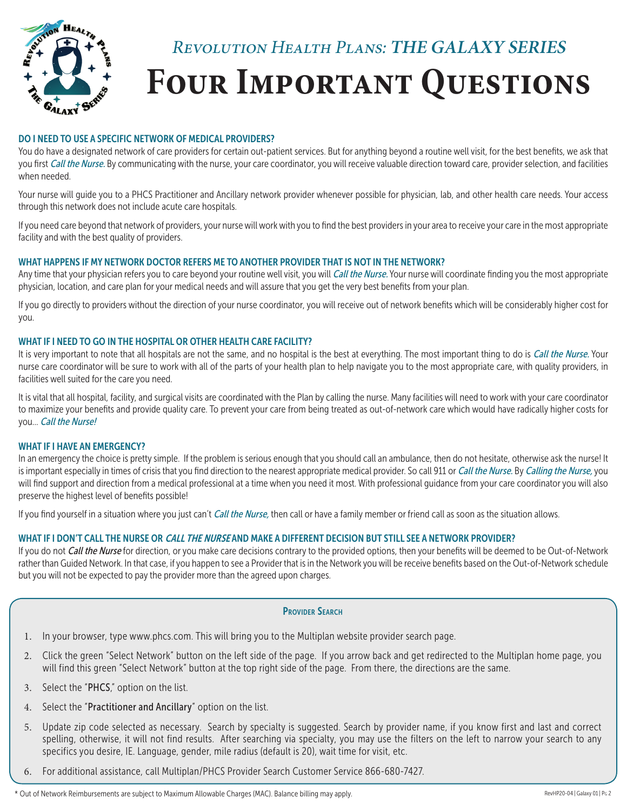

#### DO I NEED TO USE A SPECIFIC NETWORK OF MEDICAL PROVIDERS?

You do have a designated network of care providers for certain out-patient services. But for anything beyond a routine well visit, for the best benefits, we ask that you first Call the Nurse. By communicating with the nurse, your care coordinator, you will receive valuable direction toward care, provider selection, and facilities when needed.

Your nurse will guide you to a PHCS Practitioner and Ancillary network provider whenever possible for physician, lab, and other health care needs. Your access through this network does not include acute care hospitals.

If you need care beyond that network of providers, your nurse will work with you to find the best providers in your area to receive your care in the most appropriate facility and with the best quality of providers.

#### WHAT HAPPENS IF MY NETWORK DOCTOR REFERS ME TO ANOTHER PROVIDER THAT IS NOT IN THE NETWORK?

Any time that your physician refers you to care beyond your routine well visit, you will Call the Nurse. Your nurse will coordinate finding you the most appropriate physician, location, and care plan for your medical needs and will assure that you get the very best benefits from your plan.

If you go directly to providers without the direction of your nurse coordinator, you will receive out of network benefits which will be considerably higher cost for you.

#### WHAT IF I NEED TO GO IN THE HOSPITAL OR OTHER HEALTH CARE FACILITY?

It is very important to note that all hospitals are not the same, and no hospital is the best at everything. The most important thing to do is Call the Nurse. Your nurse care coordinator will be sure to work with all of the parts of your health plan to help navigate you to the most appropriate care, with quality providers, in facilities well suited for the care you need.

It is vital that all hospital, facility, and surgical visits are coordinated with the Plan by calling the nurse. Many facilities will need to work with your care coordinator to maximize your benefits and provide quality care. To prevent your care from being treated as out-of-network care which would have radically higher costs for you... Call the Nurse!

#### WHAT IF I HAVE AN EMERGENCY?

In an emergency the choice is pretty simple. If the problem is serious enough that you should call an ambulance, then do not hesitate, otherwise ask the nurse! It is important especially in times of crisis that you find direction to the nearest appropriate medical provider. So call 911 or Call the Nurse. By Calling the Nurse, you will find support and direction from a medical professional at a time when you need it most. With professional guidance from your care coordinator you will also preserve the highest level of benefits possible!

If you find yourself in a situation where you just can't *Call the Nurse*, then call or have a family member or friend call as soon as the situation allows.

#### WHAT IF I DON'T CALL THE NURSE OR *CALL THE NURSE* AND MAKE A DIFFERENT DECISION BUT STILL SEE A NETWORK PROVIDER?

If you do not Call the Nurse for direction, or you make care decisions contrary to the provided options, then your benefits will be deemed to be Out-of-Network rather than Guided Network. In that case, if you happen to see a Provider that is in the Network you will be receive benefits based on the Out-of-Network schedule but you will not be expected to pay the provider more than the agreed upon charges.

- 1. In your browser, type www.phcs.com. This will bring you to the Multiplan website provider search page.
- 2. Click the green "Select Network" button on the left side of the page. If you arrow back and get redirected to the Multiplan home page, you will find this green "Select Network" button at the top right side of the page. From there, the directions are the same.
- 3. Select the "PHCS," option on the list.
- 4. Select the "Practitioner and Ancillary" option on the list.
- 5. Update zip code selected as necessary. Search by specialty is suggested. Search by provider name, if you know first and last and correct spelling, otherwise, it will not find results. After searching via specialty, you may use the filters on the left to narrow your search to any specifics you desire, IE. Language, gender, mile radius (default is 20), wait time for visit, etc.
- 6. For additional assistance, call Multiplan/PHCS Provider Search Customer Service 866-680-7427.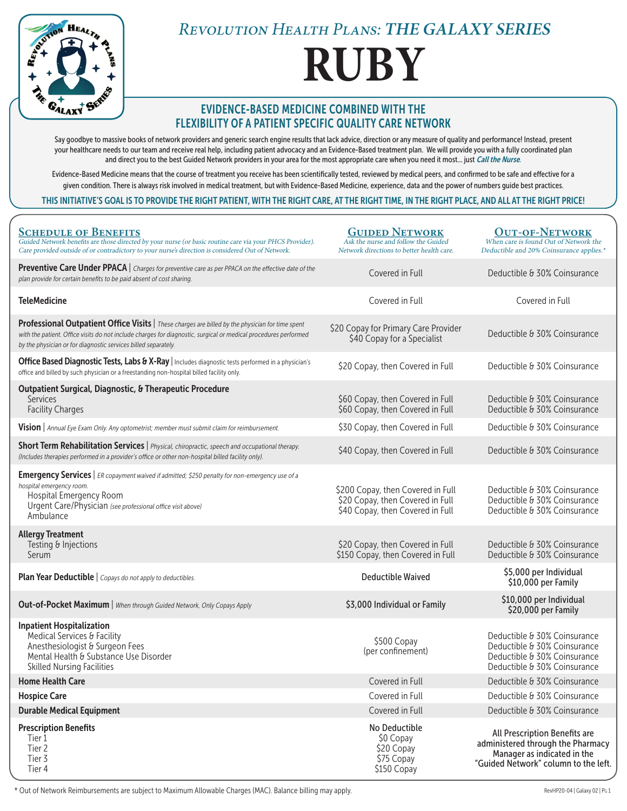

# **RUBY**

### EVIDENCE-BASED MEDICINE COMBINED WITH THE FLEXIBILITY OF A PATIENT SPECIFIC QUALITY CARE NETWORK

Say goodbye to massive books of network providers and generic search engine results that lack advice, direction or any measure of quality and performance! Instead, present your healthcare needs to our team and receive real help, including patient advocacy and an Evidence-Based treatment plan. We will provide you with a fully coordinated plan and direct you to the best Guided Network providers in your area for the most appropriate care when you need it most... just Call the Nurse.

Evidence-Based Medicine means that the course of treatment you receive has been scientifically tested, reviewed by medical peers, and confirmed to be safe and effective for a given condition. There is always risk involved in medical treatment, but with Evidence-Based Medicine, experience, data and the power of numbers guide best practices.

#### THIS INITIATIVE'S GOAL IS TO PROVIDE THE RIGHT PATIENT, WITH THE RIGHT CARE, AT THE RIGHT TIME, IN THE RIGHT PLACE, AND ALL AT THE RIGHT PRICE!

| <b>SCHEDULE OF BENEFITS</b><br>Guided Network benefits are those directed by your nurse (or basic routine care via your PHCS Provider).<br>Care provided outside of or contradictory to your nurse's direction is considered Out of Network.                                          | <b>GUIDED NETWORK</b><br>Ask the nurse and follow the Guided<br>Network directions to better health care. | <b>OUT-OF-NETWORK</b><br>When care is found Out of Network the<br>Deductible and 20% Coinsurance applies.*                                |
|---------------------------------------------------------------------------------------------------------------------------------------------------------------------------------------------------------------------------------------------------------------------------------------|-----------------------------------------------------------------------------------------------------------|-------------------------------------------------------------------------------------------------------------------------------------------|
| <b>Preventive Care Under PPACA</b>   Charges for preventive care as per PPACA on the effective date of the<br>plan provide for certain benefits to be paid absent of cost sharing.                                                                                                    | Covered in Full                                                                                           | Deductible & 30% Coinsurance                                                                                                              |
| <b>TeleMedicine</b>                                                                                                                                                                                                                                                                   | Covered in Full                                                                                           | Covered in Full                                                                                                                           |
| Professional Outpatient Office Visits   These charges are billed by the physician for time spent<br>with the patient. Office visits do not include charges for diagnostic, surgical or medical procedures performed<br>by the physician or for diagnostic services billed separately. | \$20 Copay for Primary Care Provider<br>\$40 Copay for a Specialist                                       | Deductible & 30% Coinsurance                                                                                                              |
| Office Based Diagnostic Tests, Labs & X-Ray   Includes diagnostic tests performed in a physician's<br>office and billed by such physician or a freestanding non-hospital billed facility only.                                                                                        | \$20 Copay, then Covered in Full                                                                          | Deductible & 30% Coinsurance                                                                                                              |
| <b>Outpatient Surgical, Diagnostic, &amp; Therapeutic Procedure</b><br><b>Services</b><br><b>Facility Charges</b>                                                                                                                                                                     | \$60 Copay, then Covered in Full<br>\$60 Copay, then Covered in Full                                      | Deductible & 30% Coinsurance<br>Deductible & 30% Coinsurance                                                                              |
| Vision   Annual Eye Exam Only. Any optometrist; member must submit claim for reimbursement.                                                                                                                                                                                           | \$30 Copay, then Covered in Full                                                                          | Deductible & 30% Coinsurance                                                                                                              |
| Short Term Rehabilitation Services   Physical, chiropractic, speech and occupational therapy.<br>(Includes therapies performed in a provider's office or other non-hospital billed facility only).                                                                                    | \$40 Copay, then Covered in Full                                                                          | Deductible & 30% Coinsurance                                                                                                              |
| <b>Emergency Services</b>   ER copayment waived if admitted; \$250 penalty for non-emergency use of a<br>hospital emergency room.<br>Hospital Emergency Room<br>Urgent Care/Physician (see professional office visit above)<br>Ambulance                                              | \$200 Copay, then Covered in Full<br>\$20 Copay, then Covered in Full<br>\$40 Copay, then Covered in Full | Deductible & 30% Coinsurance<br>Deductible & 30% Coinsurance<br>Deductible & 30% Coinsurance                                              |
| <b>Allergy Treatment</b><br>Testing & Injections<br>Serum                                                                                                                                                                                                                             | \$20 Copay, then Covered in Full<br>\$150 Copay, then Covered in Full                                     | Deductible & 30% Coinsurance<br>Deductible & 30% Coinsurance                                                                              |
| Plan Year Deductible   Copays do not apply to deductibles.                                                                                                                                                                                                                            | <b>Deductible Waived</b>                                                                                  | \$5,000 per Individual<br>\$10,000 per Family                                                                                             |
| <b>Out-of-Pocket Maximum</b>   When through Guided Network, Only Copays Apply                                                                                                                                                                                                         | \$3,000 Individual or Family                                                                              | \$10,000 per Individual<br>\$20,000 per Family                                                                                            |
| <b>Inpatient Hospitalization</b><br>Medical Services & Facility<br>Anesthesiologist & Surgeon Fees<br>Mental Health & Substance Use Disorder<br><b>Skilled Nursing Facilities</b>                                                                                                     | \$500 Copay<br>(per confinement)                                                                          | Deductible & 30% Coinsurance<br>Deductible & 30% Coinsurance<br>Deductible & 30% Coinsurance<br>Deductible & 30% Coinsurance              |
| <b>Home Health Care</b>                                                                                                                                                                                                                                                               | Covered in Full                                                                                           | Deductible & 30% Coinsurance                                                                                                              |
| <b>Hospice Care</b>                                                                                                                                                                                                                                                                   | Covered in Full                                                                                           | Deductible & 30% Coinsurance                                                                                                              |
| <b>Durable Medical Equipment</b>                                                                                                                                                                                                                                                      | Covered in Full                                                                                           | Deductible & 30% Coinsurance                                                                                                              |
| <b>Prescription Benefits</b><br>Tier 1<br>Tier 2<br>Tier 3<br>Tier 4                                                                                                                                                                                                                  | No Deductible<br>\$0 Copay<br>\$20 Copay<br>\$75 Copay<br>\$150 Copay                                     | All Prescription Benefits are<br>administered through the Pharmacy<br>Manager as indicated in the<br>"Guided Network" column to the left. |

\* Out of Network Reimbursements are subject to Maximum Allowable Charges (MAC). Balance billing may apply. Review and the state of the state of the state of the state of the state of the state of the State of the State of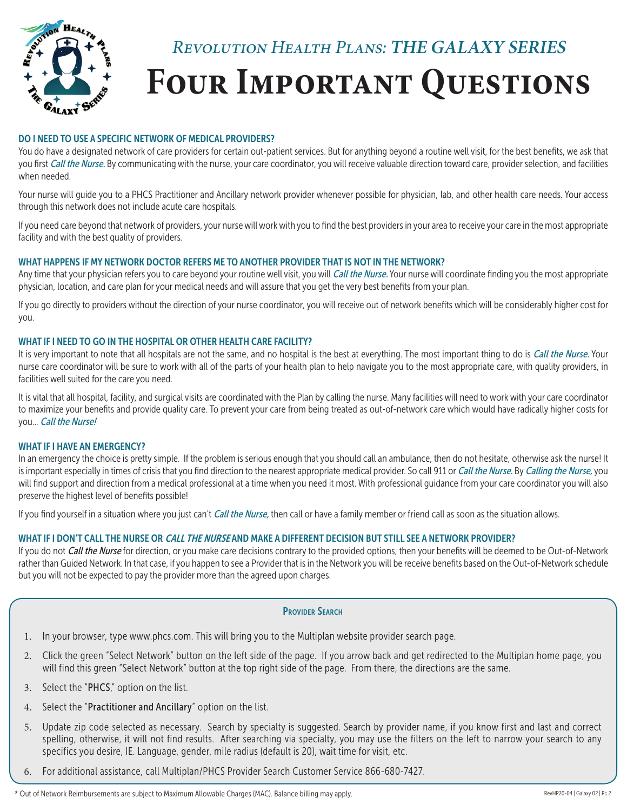

#### DO I NEED TO USE A SPECIFIC NETWORK OF MEDICAL PROVIDERS?

You do have a designated network of care providers for certain out-patient services. But for anything beyond a routine well visit, for the best benefits, we ask that you first Call the Nurse. By communicating with the nurse, your care coordinator, you will receive valuable direction toward care, provider selection, and facilities when needed.

Your nurse will guide you to a PHCS Practitioner and Ancillary network provider whenever possible for physician, lab, and other health care needs. Your access through this network does not include acute care hospitals.

If you need care beyond that network of providers, your nurse will work with you to find the best providers in your area to receive your care in the most appropriate facility and with the best quality of providers.

#### WHAT HAPPENS IF MY NETWORK DOCTOR REFERS ME TO ANOTHER PROVIDER THAT IS NOT IN THE NETWORK?

Any time that your physician refers you to care beyond your routine well visit, you will Call the Nurse. Your nurse will coordinate finding you the most appropriate physician, location, and care plan for your medical needs and will assure that you get the very best benefits from your plan.

If you go directly to providers without the direction of your nurse coordinator, you will receive out of network benefits which will be considerably higher cost for you.

#### WHAT IF I NEED TO GO IN THE HOSPITAL OR OTHER HEALTH CARE FACILITY?

It is very important to note that all hospitals are not the same, and no hospital is the best at everything. The most important thing to do is Call the Nurse. Your nurse care coordinator will be sure to work with all of the parts of your health plan to help navigate you to the most appropriate care, with quality providers, in facilities well suited for the care you need.

It is vital that all hospital, facility, and surgical visits are coordinated with the Plan by calling the nurse. Many facilities will need to work with your care coordinator to maximize your benefits and provide quality care. To prevent your care from being treated as out-of-network care which would have radically higher costs for you... Call the Nurse!

#### WHAT IF I HAVE AN EMERGENCY?

In an emergency the choice is pretty simple. If the problem is serious enough that you should call an ambulance, then do not hesitate, otherwise ask the nurse! It is important especially in times of crisis that you find direction to the nearest appropriate medical provider. So call 911 or Call the Nurse. By Calling the Nurse, you will find support and direction from a medical professional at a time when you need it most. With professional guidance from your care coordinator you will also preserve the highest level of benefits possible!

If you find yourself in a situation where you just can't *Call the Nurse*, then call or have a family member or friend call as soon as the situation allows.

#### WHAT IF I DON'T CALL THE NURSE OR *CALL THE NURSE* AND MAKE A DIFFERENT DECISION BUT STILL SEE A NETWORK PROVIDER?

If you do not Call the Nurse for direction, or you make care decisions contrary to the provided options, then your benefits will be deemed to be Out-of-Network rather than Guided Network. In that case, if you happen to see a Provider that is in the Network you will be receive benefits based on the Out-of-Network schedule but you will not be expected to pay the provider more than the agreed upon charges.

- 1. In your browser, type www.phcs.com. This will bring you to the Multiplan website provider search page.
- 2. Click the green "Select Network" button on the left side of the page. If you arrow back and get redirected to the Multiplan home page, you will find this green "Select Network" button at the top right side of the page. From there, the directions are the same.
- 3. Select the "PHCS," option on the list.
- 4. Select the "Practitioner and Ancillary" option on the list.
- 5. Update zip code selected as necessary. Search by specialty is suggested. Search by provider name, if you know first and last and correct spelling, otherwise, it will not find results. After searching via specialty, you may use the filters on the left to narrow your search to any specifics you desire, IE. Language, gender, mile radius (default is 20), wait time for visit, etc.
- 6. For additional assistance, call Multiplan/PHCS Provider Search Customer Service 866-680-7427.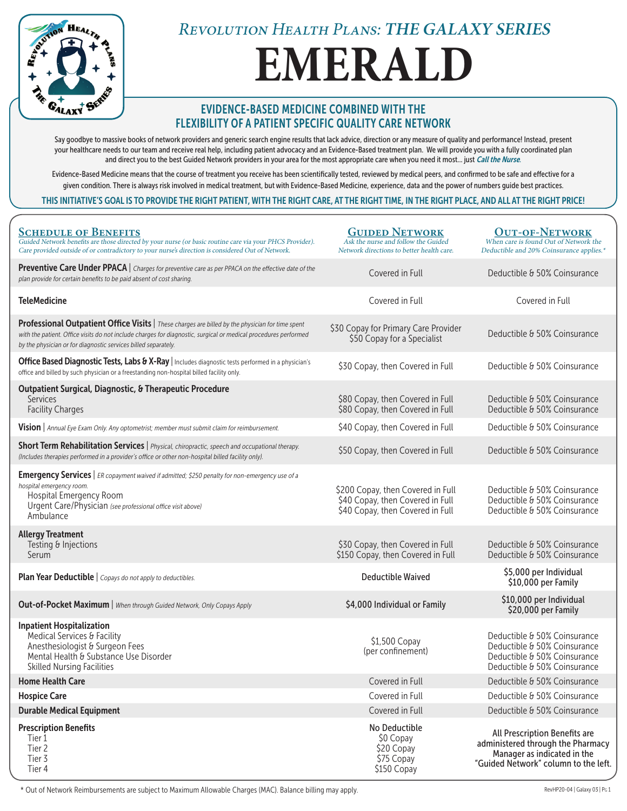

# **EMERALD**

### EVIDENCE-BASED MEDICINE COMBINED WITH THE FLEXIBILITY OF A PATIENT SPECIFIC QUALITY CARE NETWORK

Say goodbye to massive books of network providers and generic search engine results that lack advice, direction or any measure of quality and performance! Instead, present your healthcare needs to our team and receive real help, including patient advocacy and an Evidence-Based treatment plan. We will provide you with a fully coordinated plan and direct you to the best Guided Network providers in your area for the most appropriate care when you need it most... just Call the Nurse.

Evidence-Based Medicine means that the course of treatment you receive has been scientifically tested, reviewed by medical peers, and confirmed to be safe and effective for a given condition. There is always risk involved in medical treatment, but with Evidence-Based Medicine, experience, data and the power of numbers guide best practices.

#### THIS INITIATIVE'S GOAL IS TO PROVIDE THE RIGHT PATIENT, WITH THE RIGHT CARE, AT THE RIGHT TIME, IN THE RIGHT PLACE, AND ALL AT THE RIGHT PRICE!

| <b>SCHEDULE OF BENEFITS</b><br>Guided Network benefits are those directed by your nurse (or basic routine care via your PHCS Provider).<br>Care provided outside of or contradictory to your nurse's direction is considered Out of Network.                                          | <b>GUIDED NETWORK</b><br>Ask the nurse and follow the Guided<br>Network directions to better health care. | <b>OUT-OF-NETWORK</b><br>When care is found Out of Network the<br>Deductible and 20% Coinsurance applies.*                                |
|---------------------------------------------------------------------------------------------------------------------------------------------------------------------------------------------------------------------------------------------------------------------------------------|-----------------------------------------------------------------------------------------------------------|-------------------------------------------------------------------------------------------------------------------------------------------|
| <b>Preventive Care Under PPACA</b>   Charges for preventive care as per PPACA on the effective date of the<br>plan provide for certain benefits to be paid absent of cost sharing.                                                                                                    | Covered in Full                                                                                           | Deductible & 50% Coinsurance                                                                                                              |
| <b>TeleMedicine</b>                                                                                                                                                                                                                                                                   | Covered in Full                                                                                           | Covered in Full                                                                                                                           |
| Professional Outpatient Office Visits   These charges are billed by the physician for time spent<br>with the patient. Office visits do not include charges for diagnostic, surgical or medical procedures performed<br>by the physician or for diagnostic services billed separately. | \$30 Copay for Primary Care Provider<br>\$50 Copay for a Specialist                                       | Deductible & 50% Coinsurance                                                                                                              |
| Office Based Diagnostic Tests, Labs & X-Ray   Includes diagnostic tests performed in a physician's<br>office and billed by such physician or a freestanding non-hospital billed facility only.                                                                                        | \$30 Copay, then Covered in Full                                                                          | Deductible & 50% Coinsurance                                                                                                              |
| <b>Outpatient Surgical, Diagnostic, &amp; Therapeutic Procedure</b><br><b>Services</b><br><b>Facility Charges</b>                                                                                                                                                                     | \$80 Copay, then Covered in Full<br>\$80 Copay, then Covered in Full                                      | Deductible & 50% Coinsurance<br>Deductible & 50% Coinsurance                                                                              |
| Vision   Annual Eye Exam Only. Any optometrist; member must submit claim for reimbursement.                                                                                                                                                                                           | \$40 Copay, then Covered in Full                                                                          | Deductible & 50% Coinsurance                                                                                                              |
| Short Term Rehabilitation Services   Physical, chiropractic, speech and occupational therapy.<br>(Includes therapies performed in a provider's office or other non-hospital billed facility only).                                                                                    | \$50 Copay, then Covered in Full                                                                          | Deductible & 50% Coinsurance                                                                                                              |
| <b>Emergency Services</b>   ER copayment waived if admitted; \$250 penalty for non-emergency use of a<br>hospital emergency room.<br>Hospital Emergency Room<br>Urgent Care/Physician (see professional office visit above)<br>Ambulance                                              | \$200 Copay, then Covered in Full<br>\$40 Copay, then Covered in Full<br>\$40 Copay, then Covered in Full | Deductible & 50% Coinsurance<br>Deductible & 50% Coinsurance<br>Deductible & 50% Coinsurance                                              |
| <b>Allergy Treatment</b><br>Testing & Injections<br>Serum                                                                                                                                                                                                                             | \$30 Copay, then Covered in Full<br>\$150 Copay, then Covered in Full                                     | Deductible & 50% Coinsurance<br>Deductible & 50% Coinsurance                                                                              |
| Plan Year Deductible   Copays do not apply to deductibles.                                                                                                                                                                                                                            | <b>Deductible Waived</b>                                                                                  | \$5,000 per Individual<br>\$10,000 per Family                                                                                             |
| <b>Out-of-Pocket Maximum</b>   When through Guided Network, Only Copays Apply                                                                                                                                                                                                         | \$4,000 Individual or Family                                                                              | \$10,000 per Individual<br>\$20,000 per Family                                                                                            |
| <b>Inpatient Hospitalization</b><br>Medical Services & Facility<br>Anesthesiologist & Surgeon Fees<br>Mental Health & Substance Use Disorder<br><b>Skilled Nursing Facilities</b>                                                                                                     | \$1,500 Copay<br>(per confinement)                                                                        | Deductible & 50% Coinsurance<br>Deductible & 50% Coinsurance<br>Deductible & 50% Coinsurance<br>Deductible & 50% Coinsurance              |
| <b>Home Health Care</b>                                                                                                                                                                                                                                                               | Covered in Full                                                                                           | Deductible & 50% Coinsurance                                                                                                              |
| <b>Hospice Care</b>                                                                                                                                                                                                                                                                   | Covered in Full                                                                                           | Deductible & 50% Coinsurance                                                                                                              |
| <b>Durable Medical Equipment</b>                                                                                                                                                                                                                                                      | Covered in Full                                                                                           | Deductible & 50% Coinsurance                                                                                                              |
| <b>Prescription Benefits</b><br>Tier 1<br>Tier 2<br>Tier 3<br>Tier 4                                                                                                                                                                                                                  | No Deductible<br>\$0 Copay<br>\$20 Copay<br>\$75 Copay<br>\$150 Copay                                     | All Prescription Benefits are<br>administered through the Pharmacy<br>Manager as indicated in the<br>"Guided Network" column to the left. |

\* Out of Network Reimbursements are subject to Maximum Allowable Charges (MAC). Balance billing may apply. The magnesium of the state of the state of the state of the state of the state of the state of the state of the sta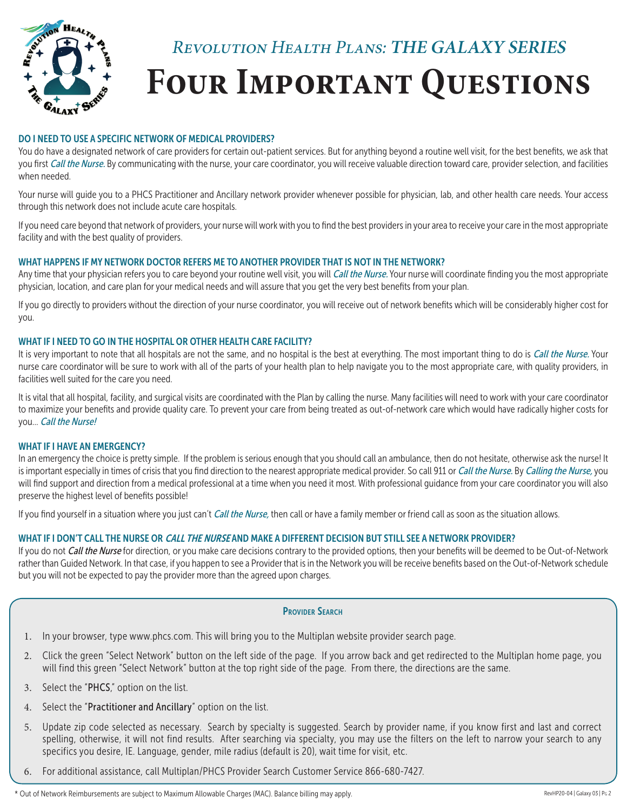

#### DO I NEED TO USE A SPECIFIC NETWORK OF MEDICAL PROVIDERS?

You do have a designated network of care providers for certain out-patient services. But for anything beyond a routine well visit, for the best benefits, we ask that you first Call the Nurse. By communicating with the nurse, your care coordinator, you will receive valuable direction toward care, provider selection, and facilities when needed.

Your nurse will guide you to a PHCS Practitioner and Ancillary network provider whenever possible for physician, lab, and other health care needs. Your access through this network does not include acute care hospitals.

If you need care beyond that network of providers, your nurse will work with you to find the best providers in your area to receive your care in the most appropriate facility and with the best quality of providers.

#### WHAT HAPPENS IF MY NETWORK DOCTOR REFERS ME TO ANOTHER PROVIDER THAT IS NOT IN THE NETWORK?

Any time that your physician refers you to care beyond your routine well visit, you will Call the Nurse. Your nurse will coordinate finding you the most appropriate physician, location, and care plan for your medical needs and will assure that you get the very best benefits from your plan.

If you go directly to providers without the direction of your nurse coordinator, you will receive out of network benefits which will be considerably higher cost for you.

#### WHAT IF I NEED TO GO IN THE HOSPITAL OR OTHER HEALTH CARE FACILITY?

It is very important to note that all hospitals are not the same, and no hospital is the best at everything. The most important thing to do is Call the Nurse. Your nurse care coordinator will be sure to work with all of the parts of your health plan to help navigate you to the most appropriate care, with quality providers, in facilities well suited for the care you need.

It is vital that all hospital, facility, and surgical visits are coordinated with the Plan by calling the nurse. Many facilities will need to work with your care coordinator to maximize your benefits and provide quality care. To prevent your care from being treated as out-of-network care which would have radically higher costs for you... Call the Nurse!

#### WHAT IF I HAVE AN EMERGENCY?

In an emergency the choice is pretty simple. If the problem is serious enough that you should call an ambulance, then do not hesitate, otherwise ask the nurse! It is important especially in times of crisis that you find direction to the nearest appropriate medical provider. So call 911 or Call the Nurse. By Calling the Nurse, you will find support and direction from a medical professional at a time when you need it most. With professional guidance from your care coordinator you will also preserve the highest level of benefits possible!

If you find yourself in a situation where you just can't *Call the Nurse*, then call or have a family member or friend call as soon as the situation allows.

#### WHAT IF I DON'T CALL THE NURSE OR *CALL THE NURSE* AND MAKE A DIFFERENT DECISION BUT STILL SEE A NETWORK PROVIDER?

If you do not Call the Nurse for direction, or you make care decisions contrary to the provided options, then your benefits will be deemed to be Out-of-Network rather than Guided Network. In that case, if you happen to see a Provider that is in the Network you will be receive benefits based on the Out-of-Network schedule but you will not be expected to pay the provider more than the agreed upon charges.

- 1. In your browser, type www.phcs.com. This will bring you to the Multiplan website provider search page.
- 2. Click the green "Select Network" button on the left side of the page. If you arrow back and get redirected to the Multiplan home page, you will find this green "Select Network" button at the top right side of the page. From there, the directions are the same.
- 3. Select the "PHCS," option on the list.
- 4. Select the "Practitioner and Ancillary" option on the list.
- 5. Update zip code selected as necessary. Search by specialty is suggested. Search by provider name, if you know first and last and correct spelling, otherwise, it will not find results. After searching via specialty, you may use the filters on the left to narrow your search to any specifics you desire, IE. Language, gender, mile radius (default is 20), wait time for visit, etc.
- 6. For additional assistance, call Multiplan/PHCS Provider Search Customer Service 866-680-7427.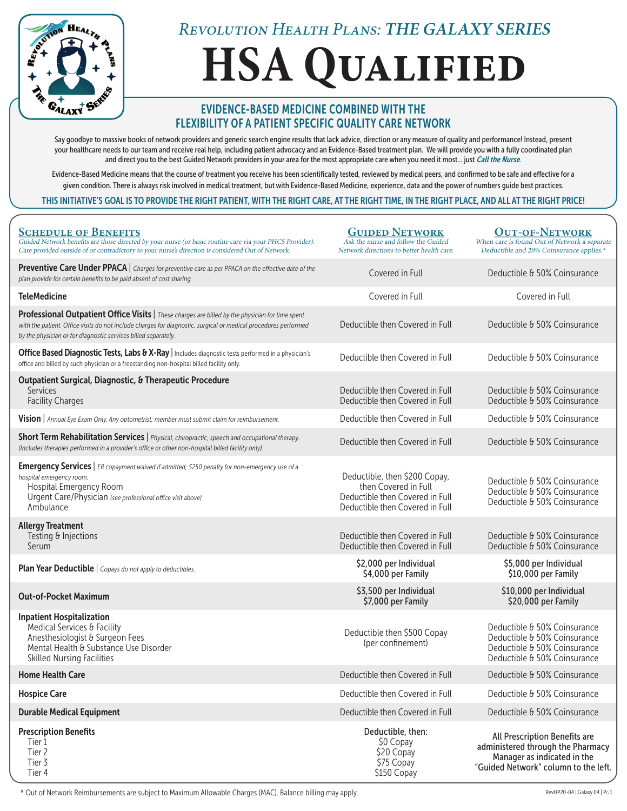

# **HSA Qualified**

### EVIDENCE-BASED MEDICINE COMBINED WITH THE FLEXIBILITY OF A PATIENT SPECIFIC QUALITY CARE NETWORK

Say goodbye to massive books of network providers and generic search engine results that lack advice, direction or any measure of quality and performance! Instead, present your healthcare needs to our team and receive real help, including patient advocacy and an Evidence-Based treatment plan. We will provide you with a fully coordinated plan and direct you to the best Guided Network providers in your area for the most appropriate care when you need it most... just Call the Nurse.

Evidence-Based Medicine means that the course of treatment you receive has been scientifically tested, reviewed by medical peers, and confirmed to be safe and effective for a given condition. There is always risk involved in medical treatment, but with Evidence-Based Medicine, experience, data and the power of numbers guide best practices.

#### THIS INITIATIVE'S GOAL IS TO PROVIDE THE RIGHT PATIENT, WITH THE RIGHT CARE, AT THE RIGHT TIME, IN THE RIGHT PLACE, AND ALL AT THE RIGHT PRICE!

| <b>SCHEDULE OF BENEFITS</b><br>Guided Network benefits are those directed by your nurse (or basic routine care via your PHCS Provider).<br>Care provided outside of or contradictory to your nurse's direction is considered Out of Network.                                          | <b>GUIDED NETWORK</b><br>Ask the nurse and follow the Guided<br>Network directions to better health care.                   | <b>OUT-OF-NETWORK</b><br>When care is found Out of Network a separate<br>Deductible and 20% Coinsurance applies.*                         |
|---------------------------------------------------------------------------------------------------------------------------------------------------------------------------------------------------------------------------------------------------------------------------------------|-----------------------------------------------------------------------------------------------------------------------------|-------------------------------------------------------------------------------------------------------------------------------------------|
| Preventive Care Under PPACA   Charges for preventive care as per PPACA on the effective date of the<br>plan provide for certain benefits to be paid absent of cost sharing.                                                                                                           | Covered in Full                                                                                                             | Deductible & 50% Coinsurance                                                                                                              |
| <b>TeleMedicine</b>                                                                                                                                                                                                                                                                   | Covered in Full                                                                                                             | Covered in Full                                                                                                                           |
| Professional Outpatient Office Visits   These charges are billed by the physician for time spent<br>with the patient. Office visits do not include charges for diagnostic, surgical or medical procedures performed<br>by the physician or for diagnostic services billed separately. | Deductible then Covered in Full                                                                                             | Deductible & 50% Coinsurance                                                                                                              |
| Office Based Diagnostic Tests, Labs & X-Ray   Includes diagnostic tests performed in a physician's<br>office and billed by such physician or a freestanding non-hospital billed facility only.                                                                                        | Deductible then Covered in Full                                                                                             | Deductible & 50% Coinsurance                                                                                                              |
| <b>Outpatient Surgical, Diagnostic, &amp; Therapeutic Procedure</b><br>Services<br><b>Facility Charges</b>                                                                                                                                                                            | Deductible then Covered in Full<br>Deductible then Covered in Full                                                          | Deductible & 50% Coinsurance<br>Deductible & 50% Coinsurance                                                                              |
| Vision   Annual Eye Exam Only. Any optometrist; member must submit claim for reimbursement.                                                                                                                                                                                           | Deductible then Covered in Full                                                                                             | Deductible & 50% Coinsurance                                                                                                              |
| Short Term Rehabilitation Services   Physical, chiropractic, speech and occupational therapy.<br>(Includes therapies performed in a provider's office or other non-hospital billed facility only).                                                                                    | Deductible then Covered in Full                                                                                             | Deductible & 50% Coinsurance                                                                                                              |
| <b>Emergency Services</b>   ER copayment waived if admitted; \$250 penalty for non-emergency use of a<br>hospital emergency room.<br>Hospital Emergency Room<br>Urgent Care/Physician (see professional office visit above)<br>Ambulance                                              | Deductible, then \$200 Copay,<br>then Covered in Full<br>Deductible then Covered in Full<br>Deductible then Covered in Full | Deductible & 50% Coinsurance<br>Deductible & 50% Coinsurance<br>Deductible & 50% Coinsurance                                              |
| <b>Allergy Treatment</b><br>Testing & Injections<br>Serum                                                                                                                                                                                                                             | Deductible then Covered in Full<br>Deductible then Covered in Full                                                          | Deductible & 50% Coinsurance<br>Deductible & 50% Coinsurance                                                                              |
| Plan Year Deductible   Copays do not apply to deductibles.                                                                                                                                                                                                                            | \$2,000 per Individual<br>\$4,000 per Family                                                                                | \$5,000 per Individual<br>\$10,000 per Family                                                                                             |
| <b>Out-of-Pocket Maximum</b>                                                                                                                                                                                                                                                          | \$3,500 per Individual<br>\$7,000 per Family                                                                                | \$10,000 per Individual<br>\$20,000 per Family                                                                                            |
| <b>Inpatient Hospitalization</b><br>Medical Services & Facility<br>Anesthesiologist & Surgeon Fees<br>Mental Health & Substance Use Disorder<br><b>Skilled Nursing Facilities</b>                                                                                                     | Deductible then \$500 Copay<br>(per confinement)                                                                            | Deductible & 50% Coinsurance<br>Deductible & 50% Coinsurance<br>Deductible & 50% Coinsurance<br>Deductible & 50% Coinsurance              |
| <b>Home Health Care</b>                                                                                                                                                                                                                                                               | Deductible then Covered in Full                                                                                             | Deductible & 50% Coinsurance                                                                                                              |
| <b>Hospice Care</b>                                                                                                                                                                                                                                                                   | Deductible then Covered in Full                                                                                             | Deductible & 50% Coinsurance                                                                                                              |
| <b>Durable Medical Equipment</b>                                                                                                                                                                                                                                                      | Deductible then Covered in Full                                                                                             | Deductible & 50% Coinsurance                                                                                                              |
| <b>Prescription Benefits</b><br>Tier 1<br>Tier 2<br>Tier 3<br>Tier 4                                                                                                                                                                                                                  | Deductible, then:<br>\$0 Copay<br>\$20 Copay<br>\$75 Copay<br>\$150 Copay                                                   | All Prescription Benefits are<br>administered through the Pharmacy<br>Manager as indicated in the<br>"Guided Network" column to the left. |

\* Out of Network Reimbursements are subject to Maximum Allowable Charges (MAC). Balance billing may apply. The man was apply and the state of the state of the state of the state of the state of the state of the state of th